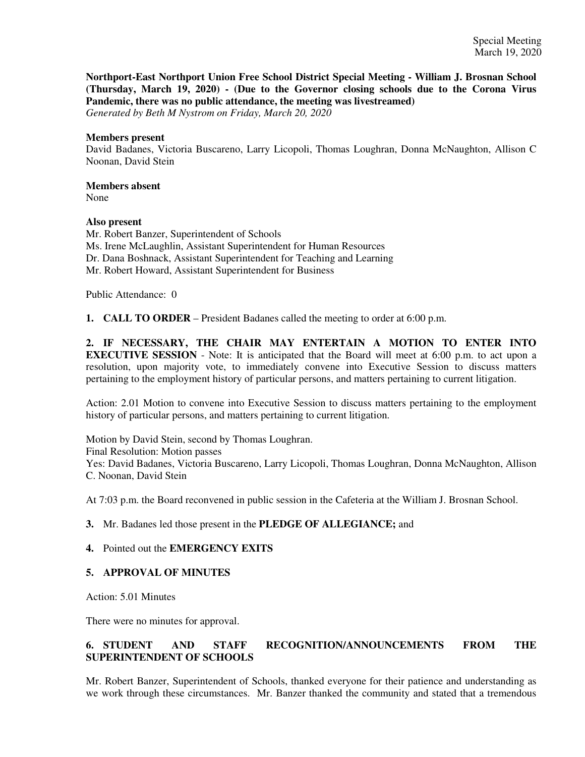**Northport-East Northport Union Free School District Special Meeting - William J. Brosnan School (Thursday, March 19, 2020) - (Due to the Governor closing schools due to the Corona Virus Pandemic, there was no public attendance, the meeting was livestreamed)**

*Generated by Beth M Nystrom on Friday, March 20, 2020*

#### **Members present**

David Badanes, Victoria Buscareno, Larry Licopoli, Thomas Loughran, Donna McNaughton, Allison C Noonan, David Stein

# **Members absent**

None

## **Also present**

Mr. Robert Banzer, Superintendent of Schools Ms. Irene McLaughlin, Assistant Superintendent for Human Resources Dr. Dana Boshnack, Assistant Superintendent for Teaching and Learning Mr. Robert Howard, Assistant Superintendent for Business

Public Attendance: 0

**1. CALL TO ORDER** – President Badanes called the meeting to order at 6:00 p.m.

**2. IF NECESSARY, THE CHAIR MAY ENTERTAIN A MOTION TO ENTER INTO EXECUTIVE SESSION** - Note: It is anticipated that the Board will meet at 6:00 p.m. to act upon a resolution, upon majority vote, to immediately convene into Executive Session to discuss matters pertaining to the employment history of particular persons, and matters pertaining to current litigation.

Action: 2.01 Motion to convene into Executive Session to discuss matters pertaining to the employment history of particular persons, and matters pertaining to current litigation.

Motion by David Stein, second by Thomas Loughran. Final Resolution: Motion passes Yes: David Badanes, Victoria Buscareno, Larry Licopoli, Thomas Loughran, Donna McNaughton, Allison C. Noonan, David Stein

At 7:03 p.m. the Board reconvened in public session in the Cafeteria at the William J. Brosnan School.

## **3.** Mr. Badanes led those present in the **PLEDGE OF ALLEGIANCE;** and

## **4.** Pointed out the **EMERGENCY EXITS**

## **5. APPROVAL OF MINUTES**

Action: 5.01 Minutes

There were no minutes for approval.

# **6. STUDENT AND STAFF RECOGNITION/ANNOUNCEMENTS FROM THE SUPERINTENDENT OF SCHOOLS**

Mr. Robert Banzer, Superintendent of Schools, thanked everyone for their patience and understanding as we work through these circumstances. Mr. Banzer thanked the community and stated that a tremendous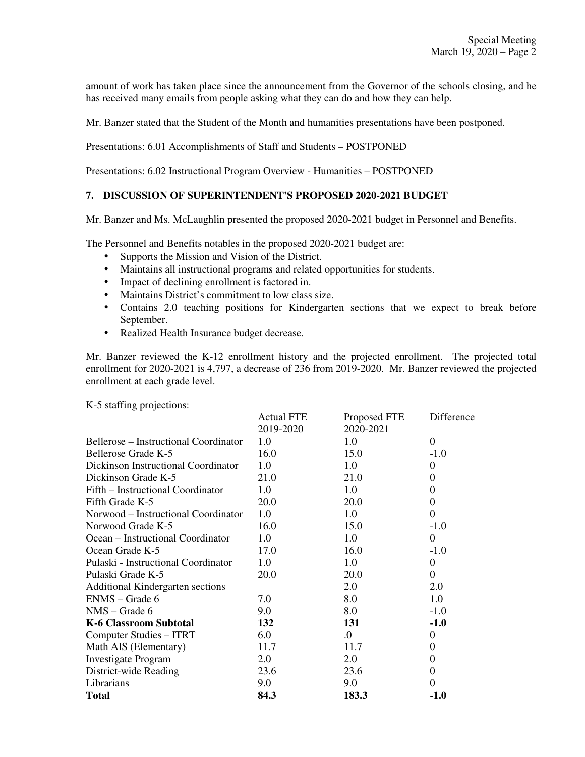amount of work has taken place since the announcement from the Governor of the schools closing, and he has received many emails from people asking what they can do and how they can help.

Mr. Banzer stated that the Student of the Month and humanities presentations have been postponed.

Presentations: 6.01 Accomplishments of Staff and Students – POSTPONED

Presentations: 6.02 Instructional Program Overview - Humanities – POSTPONED

#### **7. DISCUSSION OF SUPERINTENDENT'S PROPOSED 2020-2021 BUDGET**

Mr. Banzer and Ms. McLaughlin presented the proposed 2020-2021 budget in Personnel and Benefits.

The Personnel and Benefits notables in the proposed 2020-2021 budget are:

- Supports the Mission and Vision of the District.
- Maintains all instructional programs and related opportunities for students.
- Impact of declining enrollment is factored in.
- Maintains District's commitment to low class size.
- Contains 2.0 teaching positions for Kindergarten sections that we expect to break before September.
- Realized Health Insurance budget decrease.

Mr. Banzer reviewed the K-12 enrollment history and the projected enrollment. The projected total enrollment for 2020-2021 is 4,797, a decrease of 236 from 2019-2020. Mr. Banzer reviewed the projected enrollment at each grade level.

K-5 staffing projections:

|                                       | <b>Actual FTE</b> | Proposed FTE | Difference |
|---------------------------------------|-------------------|--------------|------------|
|                                       | 2019-2020         | 2020-2021    |            |
| Bellerose – Instructional Coordinator | 1.0               | 1.0          | $\Omega$   |
| Bellerose Grade K-5                   | 16.0              | 15.0         | $-1.0$     |
| Dickinson Instructional Coordinator   | 1.0               | 1.0          | 0          |
| Dickinson Grade K-5                   | 21.0              | 21.0         | $\theta$   |
| Fifth – Instructional Coordinator     | 1.0               | $1.0\,$      | 0          |
| Fifth Grade K-5                       | 20.0              | 20.0         | 0          |
| Norwood – Instructional Coordinator   | 1.0               | 1.0          | $\theta$   |
| Norwood Grade K-5                     | 16.0              | 15.0         | $-1.0$     |
| Ocean – Instructional Coordinator     | 1.0               | 1.0          | $\Omega$   |
| Ocean Grade K-5                       | 17.0              | 16.0         | $-1.0$     |
| Pulaski - Instructional Coordinator   | 1.0               | 1.0          | 0          |
| Pulaski Grade K-5                     | 20.0              | 20.0         | 0          |
| Additional Kindergarten sections      |                   | 2.0          | 2.0        |
| ENMS - Grade 6                        | 7.0               | 8.0          | 1.0        |
| $NMS - Grade 6$                       | 9.0               | 8.0          | $-1.0$     |
| <b>K-6 Classroom Subtotal</b>         | 132               | 131          | $-1.0$     |
| Computer Studies – ITRT               | 6.0               | .0           | 0          |
| Math AIS (Elementary)                 | 11.7              | 11.7         | 0          |
| <b>Investigate Program</b>            | 2.0               | 2.0          | 0          |
| District-wide Reading                 | 23.6              | 23.6         | 0          |
| Librarians                            | 9.0               | 9.0          | 0          |
| <b>Total</b>                          | 84.3              | 183.3        | $-1.0$     |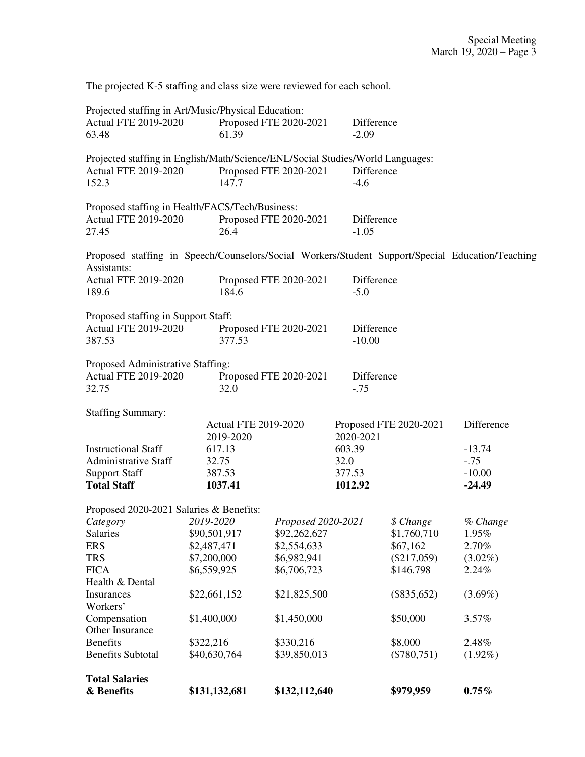The projected K-5 staffing and class size were reviewed for each school.

| Projected staffing in Art/Music/Physical Education:                                              |                        |                        |            |               |            |
|--------------------------------------------------------------------------------------------------|------------------------|------------------------|------------|---------------|------------|
| <b>Actual FTE 2019-2020</b>                                                                      | Proposed FTE 2020-2021 |                        | Difference |               |            |
| 63.48                                                                                            | 61.39                  |                        | $-2.09$    |               |            |
| Projected staffing in English/Math/Science/ENL/Social Studies/World Languages:                   |                        |                        |            |               |            |
| <b>Actual FTE 2019-2020</b>                                                                      |                        | Proposed FTE 2020-2021 | Difference |               |            |
| 152.3                                                                                            | 147.7                  |                        |            |               |            |
| Proposed staffing in Health/FACS/Tech/Business:                                                  |                        |                        |            |               |            |
| <b>Actual FTE 2019-2020</b>                                                                      |                        | Proposed FTE 2020-2021 | Difference |               |            |
| 27.45                                                                                            | 26.4                   |                        | $-1.05$    |               |            |
| Proposed staffing in Speech/Counselors/Social Workers/Student Support/Special Education/Teaching |                        |                        |            |               |            |
| Assistants:                                                                                      |                        |                        |            |               |            |
| Actual FTE 2019-2020                                                                             |                        | Proposed FTE 2020-2021 | Difference |               |            |
| 189.6                                                                                            | 184.6                  | $-5.0$                 |            |               |            |
| Proposed staffing in Support Staff:                                                              |                        |                        |            |               |            |
| <b>Actual FTE 2019-2020</b>                                                                      |                        | Proposed FTE 2020-2021 | Difference |               |            |
| 387.53                                                                                           | 377.53                 |                        | $-10.00$   |               |            |
| Proposed Administrative Staffing:                                                                |                        |                        |            |               |            |
| <b>Actual FTE 2019-2020</b>                                                                      |                        | Proposed FTE 2020-2021 | Difference |               |            |
| 32.75                                                                                            | 32.0                   |                        | $-.75$     |               |            |
| <b>Staffing Summary:</b>                                                                         |                        |                        |            |               |            |
| <b>Actual FTE 2019-2020</b>                                                                      |                        | Proposed FTE 2020-2021 |            | Difference    |            |
|                                                                                                  | 2019-2020              |                        | 2020-2021  |               |            |
| <b>Instructional Staff</b>                                                                       | 617.13                 |                        | 603.39     |               | $-13.74$   |
| <b>Administrative Staff</b>                                                                      | 32.75                  |                        | 32.0       |               | $-.75$     |
| <b>Support Staff</b>                                                                             | 387.53                 |                        | 377.53     |               | $-10.00$   |
| <b>Total Staff</b>                                                                               | 1037.41                |                        | 1012.92    |               | $-24.49$   |
| Proposed 2020-2021 Salaries & Benefits:                                                          |                        |                        |            |               |            |
| Category                                                                                         | 2019-2020              | Proposed 2020-2021     |            | \$ Change     | % Change   |
| Salaries                                                                                         | \$90,501,917           | \$92,262,627           |            | \$1,760,710   | 1.95%      |
| <b>ERS</b>                                                                                       | \$2,487,471            | \$2,554,633            |            | \$67,162      | 2.70%      |
| <b>TRS</b>                                                                                       | \$7,200,000            | \$6,982,941            |            | $(\$217,059)$ | $(3.02\%)$ |
| <b>FICA</b>                                                                                      | \$6,559,925            | \$6,706,723            |            | \$146.798     | 2.24%      |
| Health & Dental                                                                                  |                        |                        |            |               |            |
| Insurances<br>Workers'                                                                           | \$22,661,152           | \$21,825,500           |            | $(\$835,652)$ | $(3.69\%)$ |
| Compensation                                                                                     | \$1,400,000            | \$1,450,000            |            | \$50,000      | 3.57%      |
| Other Insurance                                                                                  |                        |                        |            |               |            |
| <b>Benefits</b>                                                                                  | \$322,216              | \$330,216              |            | \$8,000       | 2.48%      |
| <b>Benefits Subtotal</b>                                                                         | \$40,630,764           | \$39,850,013           |            | $(\$780,751)$ | $(1.92\%)$ |
| <b>Total Salaries</b>                                                                            |                        |                        |            |               |            |
| & Benefits                                                                                       | \$131,132,681          | \$132,112,640          |            | \$979,959     | $0.75\%$   |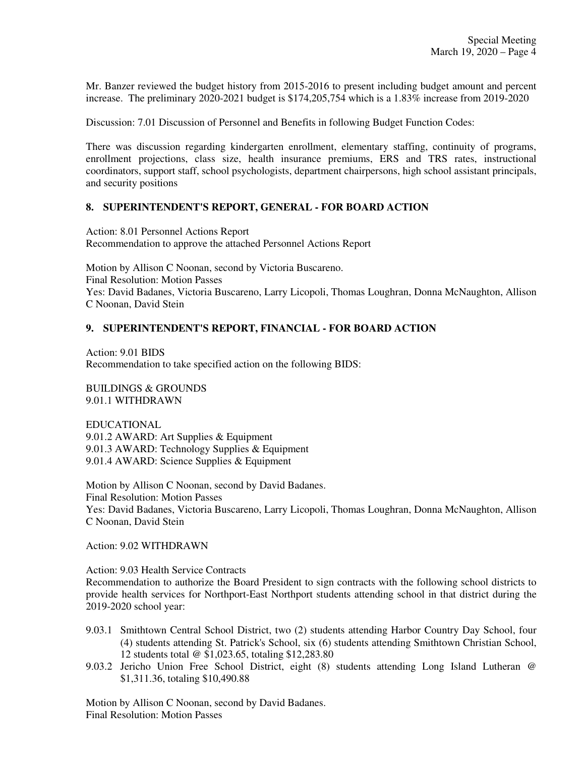Mr. Banzer reviewed the budget history from 2015-2016 to present including budget amount and percent increase. The preliminary 2020-2021 budget is \$174,205,754 which is a 1.83% increase from 2019-2020

Discussion: 7.01 Discussion of Personnel and Benefits in following Budget Function Codes:

There was discussion regarding kindergarten enrollment, elementary staffing, continuity of programs, enrollment projections, class size, health insurance premiums, ERS and TRS rates, instructional coordinators, support staff, school psychologists, department chairpersons, high school assistant principals, and security positions

## **8. SUPERINTENDENT'S REPORT, GENERAL - FOR BOARD ACTION**

Action: 8.01 Personnel Actions Report Recommendation to approve the attached Personnel Actions Report

Motion by Allison C Noonan, second by Victoria Buscareno. Final Resolution: Motion Passes Yes: David Badanes, Victoria Buscareno, Larry Licopoli, Thomas Loughran, Donna McNaughton, Allison C Noonan, David Stein

# **9. SUPERINTENDENT'S REPORT, FINANCIAL - FOR BOARD ACTION**

Action: 9.01 BIDS Recommendation to take specified action on the following BIDS:

BUILDINGS & GROUNDS 9.01.1 WITHDRAWN

EDUCATIONAL 9.01.2 AWARD: Art Supplies & Equipment 9.01.3 AWARD: Technology Supplies & Equipment 9.01.4 AWARD: Science Supplies & Equipment

Motion by Allison C Noonan, second by David Badanes. Final Resolution: Motion Passes Yes: David Badanes, Victoria Buscareno, Larry Licopoli, Thomas Loughran, Donna McNaughton, Allison C Noonan, David Stein

Action: 9.02 WITHDRAWN

Action: 9.03 Health Service Contracts

Recommendation to authorize the Board President to sign contracts with the following school districts to provide health services for Northport-East Northport students attending school in that district during the 2019-2020 school year:

- 9.03.1 Smithtown Central School District, two (2) students attending Harbor Country Day School, four (4) students attending St. Patrick's School, six (6) students attending Smithtown Christian School, 12 students total @ \$1,023.65, totaling \$12,283.80
- 9.03.2 Jericho Union Free School District, eight (8) students attending Long Island Lutheran @ \$1,311.36, totaling \$10,490.88

Motion by Allison C Noonan, second by David Badanes. Final Resolution: Motion Passes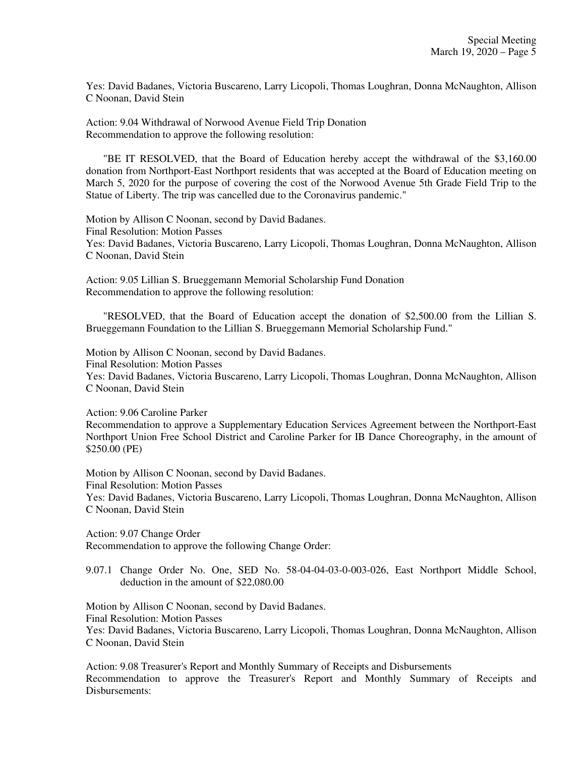Yes: David Badanes, Victoria Buscareno, Larry Licopoli, Thomas Loughran, Donna McNaughton, Allison C Noonan, David Stein

Action: 9.04 Withdrawal of Norwood Avenue Field Trip Donation Recommendation to approve the following resolution:

"BE IT RESOLVED, that the Board of Education hereby accept the withdrawal of the \$3,160.00 donation from Northport-East Northport residents that was accepted at the Board of Education meeting on March 5, 2020 for the purpose of covering the cost of the Norwood Avenue 5th Grade Field Trip to the Statue of Liberty. The trip was cancelled due to the Coronavirus pandemic."

Motion by Allison C Noonan, second by David Badanes. Final Resolution: Motion Passes Yes: David Badanes, Victoria Buscareno, Larry Licopoli, Thomas Loughran, Donna McNaughton, Allison C Noonan, David Stein

Action: 9.05 Lillian S. Brueggemann Memorial Scholarship Fund Donation Recommendation to approve the following resolution:

"RESOLVED, that the Board of Education accept the donation of \$2,500.00 from the Lillian S. Brueggemann Foundation to the Lillian S. Brueggemann Memorial Scholarship Fund."

Motion by Allison C Noonan, second by David Badanes.

Final Resolution: Motion Passes

Yes: David Badanes, Victoria Buscareno, Larry Licopoli, Thomas Loughran, Donna McNaughton, Allison C Noonan, David Stein

Action: 9.06 Caroline Parker

Recommendation to approve a Supplementary Education Services Agreement between the Northport-East Northport Union Free School District and Caroline Parker for IB Dance Choreography, in the amount of \$250.00 (PE)

Motion by Allison C Noonan, second by David Badanes.

Final Resolution: Motion Passes

Yes: David Badanes, Victoria Buscareno, Larry Licopoli, Thomas Loughran, Donna McNaughton, Allison C Noonan, David Stein

Action: 9.07 Change Order Recommendation to approve the following Change Order:

9.07.1 Change Order No. One, SED No. 58-04-04-03-0-003-026, East Northport Middle School, deduction in the amount of \$22,080.00

Motion by Allison C Noonan, second by David Badanes.

Final Resolution: Motion Passes

Yes: David Badanes, Victoria Buscareno, Larry Licopoli, Thomas Loughran, Donna McNaughton, Allison C Noonan, David Stein

Action: 9.08 Treasurer's Report and Monthly Summary of Receipts and Disbursements Recommendation to approve the Treasurer's Report and Monthly Summary of Receipts and Disbursements: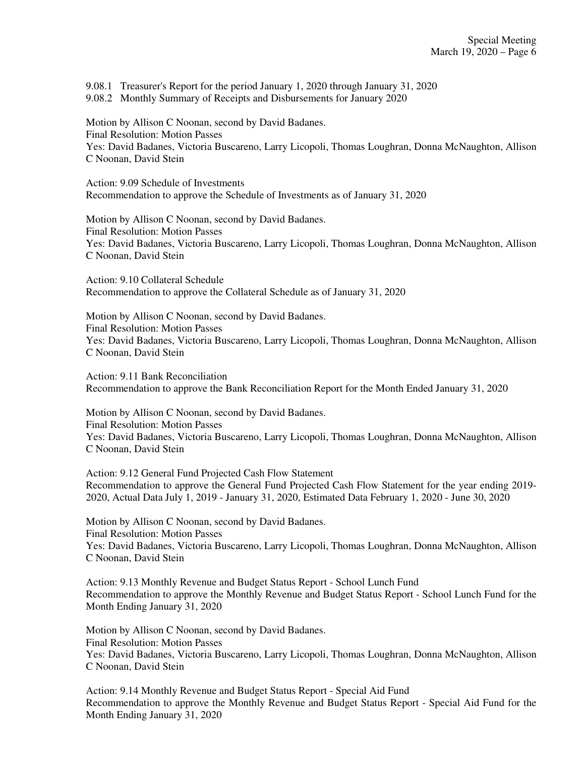9.08.1 Treasurer's Report for the period January 1, 2020 through January 31, 2020 9.08.2 Monthly Summary of Receipts and Disbursements for January 2020

Motion by Allison C Noonan, second by David Badanes. Final Resolution: Motion Passes Yes: David Badanes, Victoria Buscareno, Larry Licopoli, Thomas Loughran, Donna McNaughton, Allison C Noonan, David Stein

Action: 9.09 Schedule of Investments Recommendation to approve the Schedule of Investments as of January 31, 2020

Motion by Allison C Noonan, second by David Badanes. Final Resolution: Motion Passes Yes: David Badanes, Victoria Buscareno, Larry Licopoli, Thomas Loughran, Donna McNaughton, Allison C Noonan, David Stein

Action: 9.10 Collateral Schedule Recommendation to approve the Collateral Schedule as of January 31, 2020

Motion by Allison C Noonan, second by David Badanes. Final Resolution: Motion Passes Yes: David Badanes, Victoria Buscareno, Larry Licopoli, Thomas Loughran, Donna McNaughton, Allison C Noonan, David Stein

Action: 9.11 Bank Reconciliation Recommendation to approve the Bank Reconciliation Report for the Month Ended January 31, 2020

Motion by Allison C Noonan, second by David Badanes. Final Resolution: Motion Passes Yes: David Badanes, Victoria Buscareno, Larry Licopoli, Thomas Loughran, Donna McNaughton, Allison C Noonan, David Stein

Action: 9.12 General Fund Projected Cash Flow Statement Recommendation to approve the General Fund Projected Cash Flow Statement for the year ending 2019- 2020, Actual Data July 1, 2019 - January 31, 2020, Estimated Data February 1, 2020 - June 30, 2020

Motion by Allison C Noonan, second by David Badanes. Final Resolution: Motion Passes Yes: David Badanes, Victoria Buscareno, Larry Licopoli, Thomas Loughran, Donna McNaughton, Allison C Noonan, David Stein

Action: 9.13 Monthly Revenue and Budget Status Report - School Lunch Fund Recommendation to approve the Monthly Revenue and Budget Status Report - School Lunch Fund for the Month Ending January 31, 2020

Motion by Allison C Noonan, second by David Badanes. Final Resolution: Motion Passes Yes: David Badanes, Victoria Buscareno, Larry Licopoli, Thomas Loughran, Donna McNaughton, Allison C Noonan, David Stein

Action: 9.14 Monthly Revenue and Budget Status Report - Special Aid Fund Recommendation to approve the Monthly Revenue and Budget Status Report - Special Aid Fund for the Month Ending January 31, 2020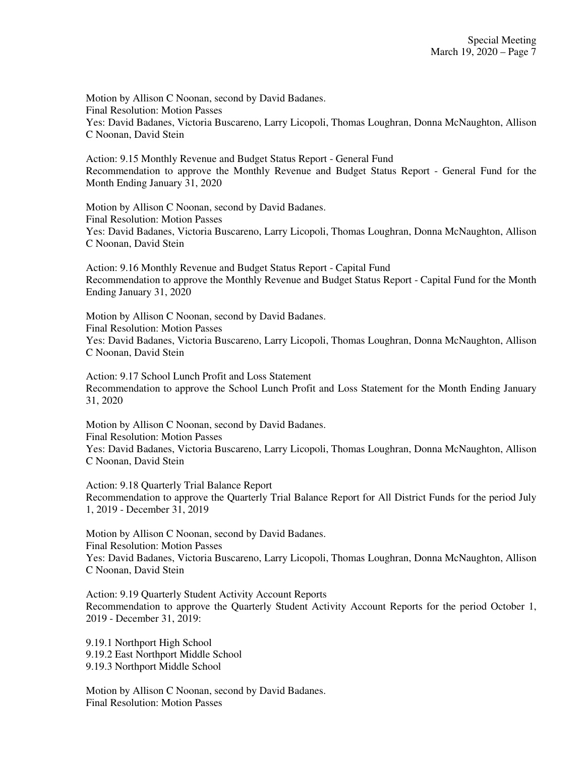Motion by Allison C Noonan, second by David Badanes. Final Resolution: Motion Passes Yes: David Badanes, Victoria Buscareno, Larry Licopoli, Thomas Loughran, Donna McNaughton, Allison C Noonan, David Stein

Action: 9.15 Monthly Revenue and Budget Status Report - General Fund Recommendation to approve the Monthly Revenue and Budget Status Report - General Fund for the Month Ending January 31, 2020

Motion by Allison C Noonan, second by David Badanes. Final Resolution: Motion Passes Yes: David Badanes, Victoria Buscareno, Larry Licopoli, Thomas Loughran, Donna McNaughton, Allison C Noonan, David Stein

Action: 9.16 Monthly Revenue and Budget Status Report - Capital Fund Recommendation to approve the Monthly Revenue and Budget Status Report - Capital Fund for the Month Ending January 31, 2020

Motion by Allison C Noonan, second by David Badanes. Final Resolution: Motion Passes Yes: David Badanes, Victoria Buscareno, Larry Licopoli, Thomas Loughran, Donna McNaughton, Allison C Noonan, David Stein

Action: 9.17 School Lunch Profit and Loss Statement Recommendation to approve the School Lunch Profit and Loss Statement for the Month Ending January 31, 2020

Motion by Allison C Noonan, second by David Badanes. Final Resolution: Motion Passes Yes: David Badanes, Victoria Buscareno, Larry Licopoli, Thomas Loughran, Donna McNaughton, Allison C Noonan, David Stein

Action: 9.18 Quarterly Trial Balance Report Recommendation to approve the Quarterly Trial Balance Report for All District Funds for the period July 1, 2019 - December 31, 2019

Motion by Allison C Noonan, second by David Badanes. Final Resolution: Motion Passes Yes: David Badanes, Victoria Buscareno, Larry Licopoli, Thomas Loughran, Donna McNaughton, Allison C Noonan, David Stein

Action: 9.19 Quarterly Student Activity Account Reports Recommendation to approve the Quarterly Student Activity Account Reports for the period October 1, 2019 - December 31, 2019:

9.19.1 Northport High School 9.19.2 East Northport Middle School 9.19.3 Northport Middle School

Motion by Allison C Noonan, second by David Badanes. Final Resolution: Motion Passes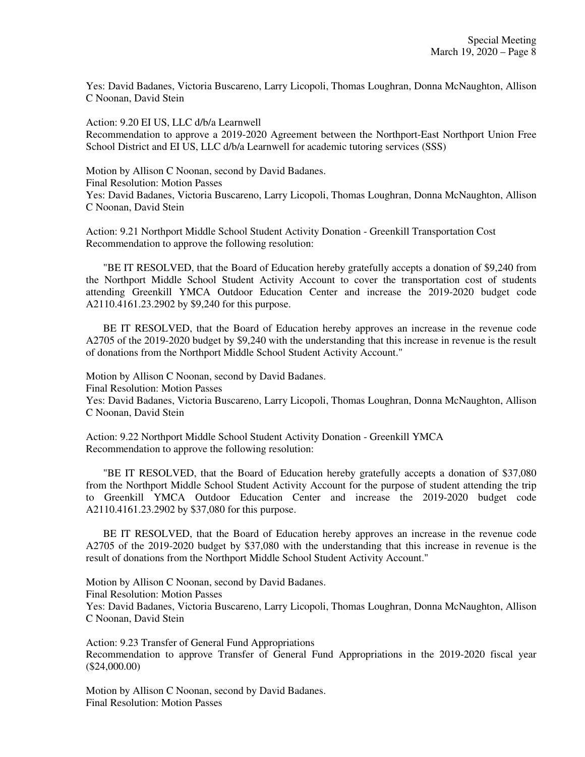Yes: David Badanes, Victoria Buscareno, Larry Licopoli, Thomas Loughran, Donna McNaughton, Allison C Noonan, David Stein

Action: 9.20 EI US, LLC d/b/a Learnwell Recommendation to approve a 2019-2020 Agreement between the Northport-East Northport Union Free School District and EI US, LLC d/b/a Learnwell for academic tutoring services (SSS)

Motion by Allison C Noonan, second by David Badanes. Final Resolution: Motion Passes Yes: David Badanes, Victoria Buscareno, Larry Licopoli, Thomas Loughran, Donna McNaughton, Allison C Noonan, David Stein

Action: 9.21 Northport Middle School Student Activity Donation - Greenkill Transportation Cost Recommendation to approve the following resolution:

"BE IT RESOLVED, that the Board of Education hereby gratefully accepts a donation of \$9,240 from the Northport Middle School Student Activity Account to cover the transportation cost of students attending Greenkill YMCA Outdoor Education Center and increase the 2019-2020 budget code A2110.4161.23.2902 by \$9,240 for this purpose.

BE IT RESOLVED, that the Board of Education hereby approves an increase in the revenue code A2705 of the 2019-2020 budget by \$9,240 with the understanding that this increase in revenue is the result of donations from the Northport Middle School Student Activity Account."

Motion by Allison C Noonan, second by David Badanes. Final Resolution: Motion Passes Yes: David Badanes, Victoria Buscareno, Larry Licopoli, Thomas Loughran, Donna McNaughton, Allison C Noonan, David Stein

Action: 9.22 Northport Middle School Student Activity Donation - Greenkill YMCA Recommendation to approve the following resolution:

"BE IT RESOLVED, that the Board of Education hereby gratefully accepts a donation of \$37,080 from the Northport Middle School Student Activity Account for the purpose of student attending the trip to Greenkill YMCA Outdoor Education Center and increase the 2019-2020 budget code A2110.4161.23.2902 by \$37,080 for this purpose.

BE IT RESOLVED, that the Board of Education hereby approves an increase in the revenue code A2705 of the 2019-2020 budget by \$37,080 with the understanding that this increase in revenue is the result of donations from the Northport Middle School Student Activity Account."

Motion by Allison C Noonan, second by David Badanes. Final Resolution: Motion Passes Yes: David Badanes, Victoria Buscareno, Larry Licopoli, Thomas Loughran, Donna McNaughton, Allison C Noonan, David Stein

Action: 9.23 Transfer of General Fund Appropriations Recommendation to approve Transfer of General Fund Appropriations in the 2019-2020 fiscal year (\$24,000.00)

Motion by Allison C Noonan, second by David Badanes. Final Resolution: Motion Passes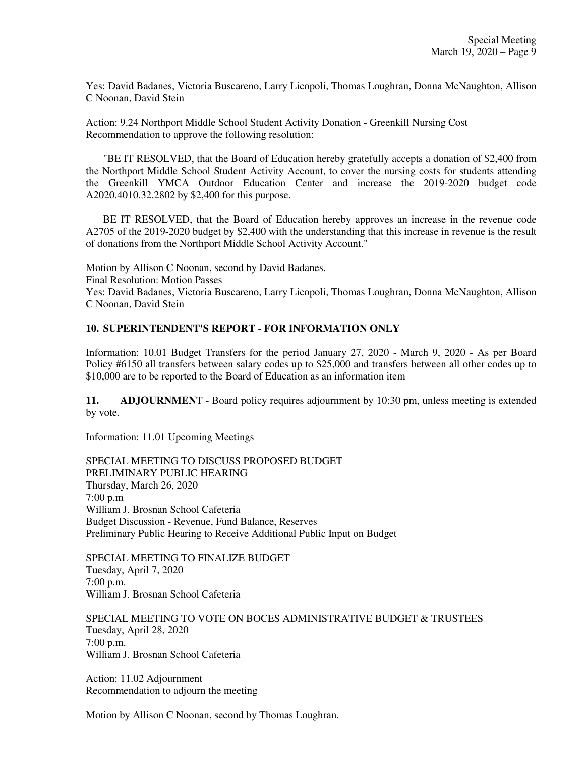Yes: David Badanes, Victoria Buscareno, Larry Licopoli, Thomas Loughran, Donna McNaughton, Allison C Noonan, David Stein

Action: 9.24 Northport Middle School Student Activity Donation - Greenkill Nursing Cost Recommendation to approve the following resolution:

"BE IT RESOLVED, that the Board of Education hereby gratefully accepts a donation of \$2,400 from the Northport Middle School Student Activity Account, to cover the nursing costs for students attending the Greenkill YMCA Outdoor Education Center and increase the 2019-2020 budget code A2020.4010.32.2802 by \$2,400 for this purpose.

BE IT RESOLVED, that the Board of Education hereby approves an increase in the revenue code A2705 of the 2019-2020 budget by \$2,400 with the understanding that this increase in revenue is the result of donations from the Northport Middle School Activity Account."

Motion by Allison C Noonan, second by David Badanes. Final Resolution: Motion Passes Yes: David Badanes, Victoria Buscareno, Larry Licopoli, Thomas Loughran, Donna McNaughton, Allison C Noonan, David Stein

# **10. SUPERINTENDENT'S REPORT - FOR INFORMATION ONLY**

Information: 10.01 Budget Transfers for the period January 27, 2020 - March 9, 2020 - As per Board Policy #6150 all transfers between salary codes up to \$25,000 and transfers between all other codes up to \$10,000 are to be reported to the Board of Education as an information item

**11. ADJOURNMEN**T - Board policy requires adjournment by 10:30 pm, unless meeting is extended by vote.

Information: 11.01 Upcoming Meetings

SPECIAL MEETING TO DISCUSS PROPOSED BUDGET PRELIMINARY PUBLIC HEARING Thursday, March 26, 2020 7:00 p.m William J. Brosnan School Cafeteria Budget Discussion - Revenue, Fund Balance, Reserves Preliminary Public Hearing to Receive Additional Public Input on Budget

SPECIAL MEETING TO FINALIZE BUDGET Tuesday, April 7, 2020 7:00 p.m. William J. Brosnan School Cafeteria

SPECIAL MEETING TO VOTE ON BOCES ADMINISTRATIVE BUDGET & TRUSTEES Tuesday, April 28, 2020 7:00 p.m. William J. Brosnan School Cafeteria

Action: 11.02 Adjournment Recommendation to adjourn the meeting

Motion by Allison C Noonan, second by Thomas Loughran.